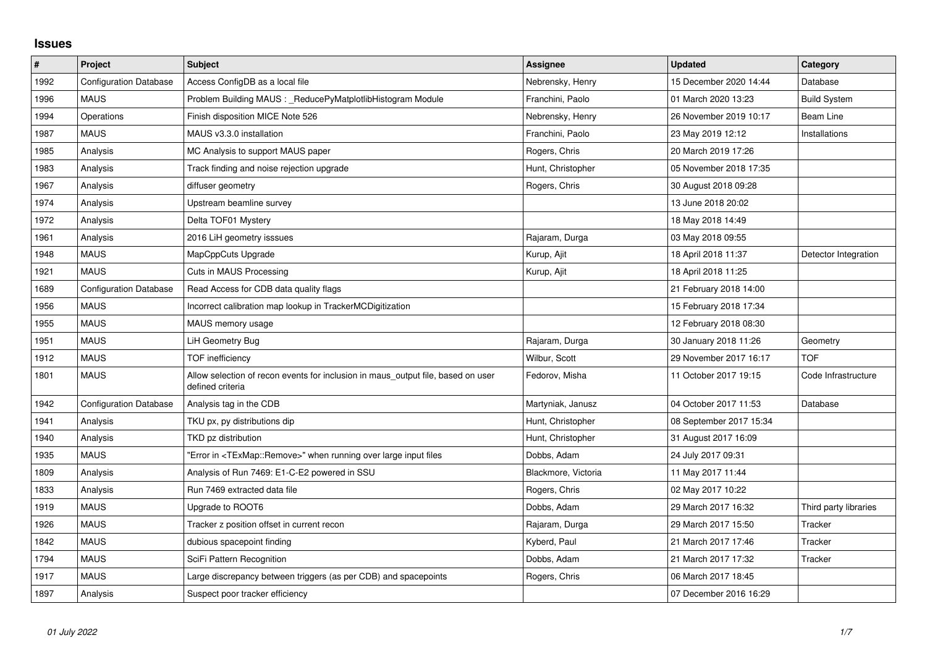## **Issues**

| $\pmb{\#}$ | Project                       | <b>Subject</b>                                                                                       | Assignee            | <b>Updated</b>          | Category              |
|------------|-------------------------------|------------------------------------------------------------------------------------------------------|---------------------|-------------------------|-----------------------|
| 1992       | <b>Configuration Database</b> | Access ConfigDB as a local file                                                                      | Nebrensky, Henry    | 15 December 2020 14:44  | Database              |
| 1996       | <b>MAUS</b>                   | Problem Building MAUS : _ ReducePyMatplotlibHistogram Module                                         | Franchini, Paolo    | 01 March 2020 13:23     | <b>Build System</b>   |
| 1994       | Operations                    | Finish disposition MICE Note 526                                                                     | Nebrensky, Henry    | 26 November 2019 10:17  | Beam Line             |
| 1987       | <b>MAUS</b>                   | MAUS v3.3.0 installation                                                                             | Franchini, Paolo    | 23 May 2019 12:12       | Installations         |
| 1985       | Analysis                      | MC Analysis to support MAUS paper                                                                    | Rogers, Chris       | 20 March 2019 17:26     |                       |
| 1983       | Analysis                      | Track finding and noise rejection upgrade                                                            | Hunt, Christopher   | 05 November 2018 17:35  |                       |
| 1967       | Analysis                      | diffuser geometry                                                                                    | Rogers, Chris       | 30 August 2018 09:28    |                       |
| 1974       | Analysis                      | Upstream beamline survey                                                                             |                     | 13 June 2018 20:02      |                       |
| 1972       | Analysis                      | Delta TOF01 Mystery                                                                                  |                     | 18 May 2018 14:49       |                       |
| 1961       | Analysis                      | 2016 LiH geometry isssues                                                                            | Rajaram, Durga      | 03 May 2018 09:55       |                       |
| 1948       | <b>MAUS</b>                   | MapCppCuts Upgrade                                                                                   | Kurup, Ajit         | 18 April 2018 11:37     | Detector Integration  |
| 1921       | <b>MAUS</b>                   | Cuts in MAUS Processing                                                                              | Kurup, Ajit         | 18 April 2018 11:25     |                       |
| 1689       | <b>Configuration Database</b> | Read Access for CDB data quality flags                                                               |                     | 21 February 2018 14:00  |                       |
| 1956       | <b>MAUS</b>                   | Incorrect calibration map lookup in TrackerMCDigitization                                            |                     | 15 February 2018 17:34  |                       |
| 1955       | <b>MAUS</b>                   | MAUS memory usage                                                                                    |                     | 12 February 2018 08:30  |                       |
| 1951       | <b>MAUS</b>                   | LiH Geometry Bug                                                                                     | Rajaram, Durga      | 30 January 2018 11:26   | Geometry              |
| 1912       | <b>MAUS</b>                   | <b>TOF</b> inefficiency                                                                              | Wilbur, Scott       | 29 November 2017 16:17  | <b>TOF</b>            |
| 1801       | <b>MAUS</b>                   | Allow selection of recon events for inclusion in maus_output file, based on user<br>defined criteria | Fedorov, Misha      | 11 October 2017 19:15   | Code Infrastructure   |
| 1942       | <b>Configuration Database</b> | Analysis tag in the CDB                                                                              | Martyniak, Janusz   | 04 October 2017 11:53   | Database              |
| 1941       | Analysis                      | TKU px, py distributions dip                                                                         | Hunt, Christopher   | 08 September 2017 15:34 |                       |
| 1940       | Analysis                      | TKD pz distribution                                                                                  | Hunt, Christopher   | 31 August 2017 16:09    |                       |
| 1935       | <b>MAUS</b>                   | "Error in <texmap::remove>" when running over large input files</texmap::remove>                     | Dobbs, Adam         | 24 July 2017 09:31      |                       |
| 1809       | Analysis                      | Analysis of Run 7469: E1-C-E2 powered in SSU                                                         | Blackmore, Victoria | 11 May 2017 11:44       |                       |
| 1833       | Analysis                      | Run 7469 extracted data file                                                                         | Rogers, Chris       | 02 May 2017 10:22       |                       |
| 1919       | <b>MAUS</b>                   | Upgrade to ROOT6                                                                                     | Dobbs, Adam         | 29 March 2017 16:32     | Third party libraries |
| 1926       | <b>MAUS</b>                   | Tracker z position offset in current recon                                                           | Rajaram, Durga      | 29 March 2017 15:50     | Tracker               |
| 1842       | <b>MAUS</b>                   | dubious spacepoint finding                                                                           | Kyberd, Paul        | 21 March 2017 17:46     | Tracker               |
| 1794       | <b>MAUS</b>                   | SciFi Pattern Recognition                                                                            | Dobbs, Adam         | 21 March 2017 17:32     | Tracker               |
| 1917       | <b>MAUS</b>                   | Large discrepancy between triggers (as per CDB) and spacepoints                                      | Rogers, Chris       | 06 March 2017 18:45     |                       |
| 1897       | Analysis                      | Suspect poor tracker efficiency                                                                      |                     | 07 December 2016 16:29  |                       |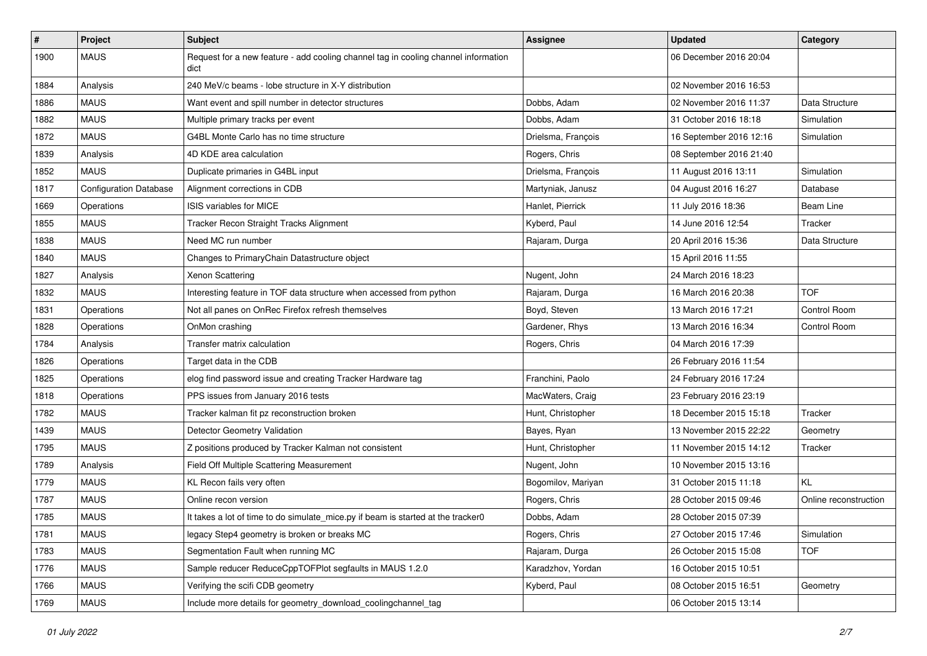| #    | Project                       | Subject                                                                                    | <b>Assignee</b>    | <b>Updated</b>          | Category              |
|------|-------------------------------|--------------------------------------------------------------------------------------------|--------------------|-------------------------|-----------------------|
| 1900 | <b>MAUS</b>                   | Request for a new feature - add cooling channel tag in cooling channel information<br>dict |                    | 06 December 2016 20:04  |                       |
| 1884 | Analysis                      | 240 MeV/c beams - lobe structure in X-Y distribution                                       |                    | 02 November 2016 16:53  |                       |
| 1886 | <b>MAUS</b>                   | Want event and spill number in detector structures                                         | Dobbs, Adam        | 02 November 2016 11:37  | Data Structure        |
| 1882 | <b>MAUS</b>                   | Multiple primary tracks per event                                                          | Dobbs, Adam        | 31 October 2016 18:18   | Simulation            |
| 1872 | <b>MAUS</b>                   | G4BL Monte Carlo has no time structure                                                     | Drielsma, François | 16 September 2016 12:16 | Simulation            |
| 1839 | Analysis                      | 4D KDE area calculation                                                                    | Rogers, Chris      | 08 September 2016 21:40 |                       |
| 1852 | <b>MAUS</b>                   | Duplicate primaries in G4BL input                                                          | Drielsma, François | 11 August 2016 13:11    | Simulation            |
| 1817 | <b>Configuration Database</b> | Alignment corrections in CDB                                                               | Martyniak, Janusz  | 04 August 2016 16:27    | Database              |
| 1669 | Operations                    | ISIS variables for MICE                                                                    | Hanlet, Pierrick   | 11 July 2016 18:36      | <b>Beam Line</b>      |
| 1855 | <b>MAUS</b>                   | Tracker Recon Straight Tracks Alignment                                                    | Kyberd, Paul       | 14 June 2016 12:54      | Tracker               |
| 1838 | <b>MAUS</b>                   | Need MC run number                                                                         | Rajaram, Durga     | 20 April 2016 15:36     | Data Structure        |
| 1840 | <b>MAUS</b>                   | Changes to PrimaryChain Datastructure object                                               |                    | 15 April 2016 11:55     |                       |
| 1827 | Analysis                      | Xenon Scattering                                                                           | Nugent, John       | 24 March 2016 18:23     |                       |
| 1832 | <b>MAUS</b>                   | Interesting feature in TOF data structure when accessed from python                        | Rajaram, Durga     | 16 March 2016 20:38     | <b>TOF</b>            |
| 1831 | Operations                    | Not all panes on OnRec Firefox refresh themselves                                          | Boyd, Steven       | 13 March 2016 17:21     | Control Room          |
| 1828 | Operations                    | OnMon crashing                                                                             | Gardener, Rhys     | 13 March 2016 16:34     | Control Room          |
| 1784 | Analysis                      | Transfer matrix calculation                                                                | Rogers, Chris      | 04 March 2016 17:39     |                       |
| 1826 | Operations                    | Target data in the CDB                                                                     |                    | 26 February 2016 11:54  |                       |
| 1825 | Operations                    | elog find password issue and creating Tracker Hardware tag                                 | Franchini, Paolo   | 24 February 2016 17:24  |                       |
| 1818 | Operations                    | PPS issues from January 2016 tests                                                         | MacWaters, Craig   | 23 February 2016 23:19  |                       |
| 1782 | <b>MAUS</b>                   | Tracker kalman fit pz reconstruction broken                                                | Hunt, Christopher  | 18 December 2015 15:18  | Tracker               |
| 1439 | <b>MAUS</b>                   | Detector Geometry Validation                                                               | Bayes, Ryan        | 13 November 2015 22:22  | Geometry              |
| 1795 | <b>MAUS</b>                   | Z positions produced by Tracker Kalman not consistent                                      | Hunt, Christopher  | 11 November 2015 14:12  | Tracker               |
| 1789 | Analysis                      | Field Off Multiple Scattering Measurement                                                  | Nugent, John       | 10 November 2015 13:16  |                       |
| 1779 | <b>MAUS</b>                   | KL Recon fails very often                                                                  | Bogomilov, Mariyan | 31 October 2015 11:18   | <b>KL</b>             |
| 1787 | <b>MAUS</b>                   | Online recon version                                                                       | Rogers, Chris      | 28 October 2015 09:46   | Online reconstruction |
| 1785 | <b>MAUS</b>                   | It takes a lot of time to do simulate_mice.py if beam is started at the tracker0           | Dobbs, Adam        | 28 October 2015 07:39   |                       |
| 1781 | <b>MAUS</b>                   | legacy Step4 geometry is broken or breaks MC                                               | Rogers, Chris      | 27 October 2015 17:46   | Simulation            |
| 1783 | <b>MAUS</b>                   | Segmentation Fault when running MC                                                         | Rajaram, Durga     | 26 October 2015 15:08   | <b>TOF</b>            |
| 1776 | <b>MAUS</b>                   | Sample reducer ReduceCppTOFPlot segfaults in MAUS 1.2.0                                    | Karadzhov, Yordan  | 16 October 2015 10:51   |                       |
| 1766 | <b>MAUS</b>                   | Verifying the scifi CDB geometry                                                           | Kyberd, Paul       | 08 October 2015 16:51   | Geometry              |
| 1769 | <b>MAUS</b>                   | Include more details for geometry_download_coolingchannel_tag                              |                    | 06 October 2015 13:14   |                       |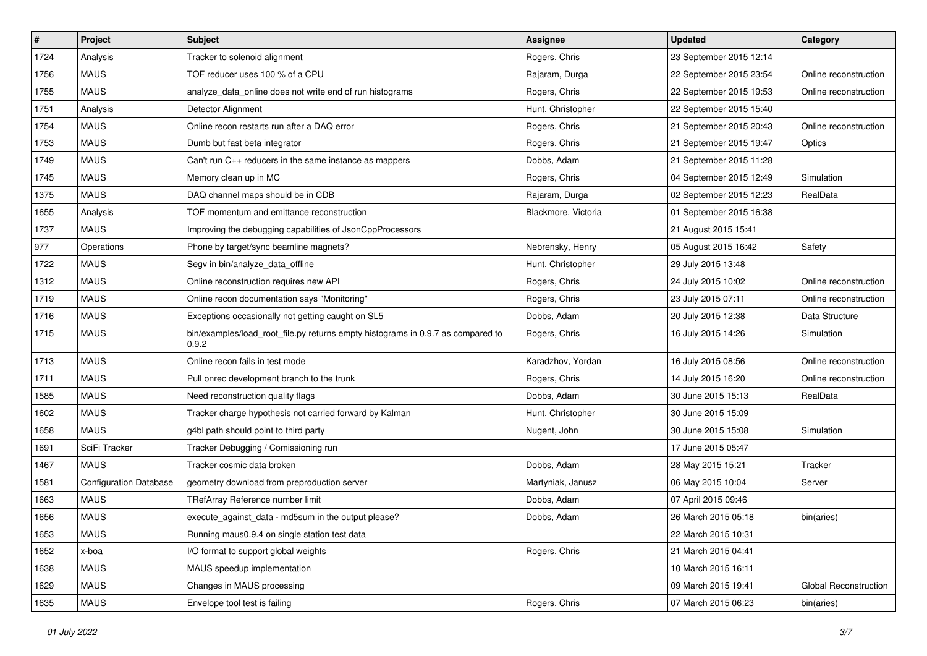| $\sharp$ | Project                       | <b>Subject</b>                                                                           | <b>Assignee</b>     | <b>Updated</b>          | Category                     |
|----------|-------------------------------|------------------------------------------------------------------------------------------|---------------------|-------------------------|------------------------------|
| 1724     | Analysis                      | Tracker to solenoid alignment                                                            | Rogers, Chris       | 23 September 2015 12:14 |                              |
| 1756     | <b>MAUS</b>                   | TOF reducer uses 100 % of a CPU                                                          | Rajaram, Durga      | 22 September 2015 23:54 | Online reconstruction        |
| 1755     | <b>MAUS</b>                   | analyze data online does not write end of run histograms                                 | Rogers, Chris       | 22 September 2015 19:53 | Online reconstruction        |
| 1751     | Analysis                      | Detector Alignment                                                                       | Hunt, Christopher   | 22 September 2015 15:40 |                              |
| 1754     | <b>MAUS</b>                   | Online recon restarts run after a DAQ error                                              | Rogers, Chris       | 21 September 2015 20:43 | Online reconstruction        |
| 1753     | <b>MAUS</b>                   | Dumb but fast beta integrator                                                            | Rogers, Chris       | 21 September 2015 19:47 | Optics                       |
| 1749     | <b>MAUS</b>                   | Can't run C++ reducers in the same instance as mappers                                   | Dobbs, Adam         | 21 September 2015 11:28 |                              |
| 1745     | <b>MAUS</b>                   | Memory clean up in MC                                                                    | Rogers, Chris       | 04 September 2015 12:49 | Simulation                   |
| 1375     | <b>MAUS</b>                   | DAQ channel maps should be in CDB                                                        | Rajaram, Durga      | 02 September 2015 12:23 | RealData                     |
| 1655     | Analysis                      | TOF momentum and emittance reconstruction                                                | Blackmore, Victoria | 01 September 2015 16:38 |                              |
| 1737     | <b>MAUS</b>                   | Improving the debugging capabilities of JsonCppProcessors                                |                     | 21 August 2015 15:41    |                              |
| 977      | Operations                    | Phone by target/sync beamline magnets?                                                   | Nebrensky, Henry    | 05 August 2015 16:42    | Safety                       |
| 1722     | <b>MAUS</b>                   | Segv in bin/analyze_data_offline                                                         | Hunt, Christopher   | 29 July 2015 13:48      |                              |
| 1312     | <b>MAUS</b>                   | Online reconstruction requires new API                                                   | Rogers, Chris       | 24 July 2015 10:02      | Online reconstruction        |
| 1719     | <b>MAUS</b>                   | Online recon documentation says "Monitoring"                                             | Rogers, Chris       | 23 July 2015 07:11      | Online reconstruction        |
| 1716     | <b>MAUS</b>                   | Exceptions occasionally not getting caught on SL5                                        | Dobbs, Adam         | 20 July 2015 12:38      | Data Structure               |
| 1715     | <b>MAUS</b>                   | bin/examples/load_root_file.py returns empty histograms in 0.9.7 as compared to<br>0.9.2 | Rogers, Chris       | 16 July 2015 14:26      | Simulation                   |
| 1713     | <b>MAUS</b>                   | Online recon fails in test mode                                                          | Karadzhov, Yordan   | 16 July 2015 08:56      | Online reconstruction        |
| 1711     | <b>MAUS</b>                   | Pull onrec development branch to the trunk                                               | Rogers, Chris       | 14 July 2015 16:20      | Online reconstruction        |
| 1585     | <b>MAUS</b>                   | Need reconstruction quality flags                                                        | Dobbs, Adam         | 30 June 2015 15:13      | RealData                     |
| 1602     | <b>MAUS</b>                   | Tracker charge hypothesis not carried forward by Kalman                                  | Hunt, Christopher   | 30 June 2015 15:09      |                              |
| 1658     | <b>MAUS</b>                   | g4bl path should point to third party                                                    | Nugent, John        | 30 June 2015 15:08      | Simulation                   |
| 1691     | SciFi Tracker                 | Tracker Debugging / Comissioning run                                                     |                     | 17 June 2015 05:47      |                              |
| 1467     | <b>MAUS</b>                   | Tracker cosmic data broken                                                               | Dobbs, Adam         | 28 May 2015 15:21       | Tracker                      |
| 1581     | <b>Configuration Database</b> | geometry download from preproduction server                                              | Martyniak, Janusz   | 06 May 2015 10:04       | Server                       |
| 1663     | <b>MAUS</b>                   | TRefArray Reference number limit                                                         | Dobbs, Adam         | 07 April 2015 09:46     |                              |
| 1656     | <b>MAUS</b>                   | execute_against_data - md5sum in the output please?                                      | Dobbs, Adam         | 26 March 2015 05:18     | bin(aries)                   |
| 1653     | <b>MAUS</b>                   | Running maus0.9.4 on single station test data                                            |                     | 22 March 2015 10:31     |                              |
| 1652     | x-boa                         | I/O format to support global weights                                                     | Rogers, Chris       | 21 March 2015 04:41     |                              |
| 1638     | <b>MAUS</b>                   | MAUS speedup implementation                                                              |                     | 10 March 2015 16:11     |                              |
| 1629     | <b>MAUS</b>                   | Changes in MAUS processing                                                               |                     | 09 March 2015 19:41     | <b>Global Reconstruction</b> |
| 1635     | <b>MAUS</b>                   | Envelope tool test is failing                                                            | Rogers, Chris       | 07 March 2015 06:23     | bin(aries)                   |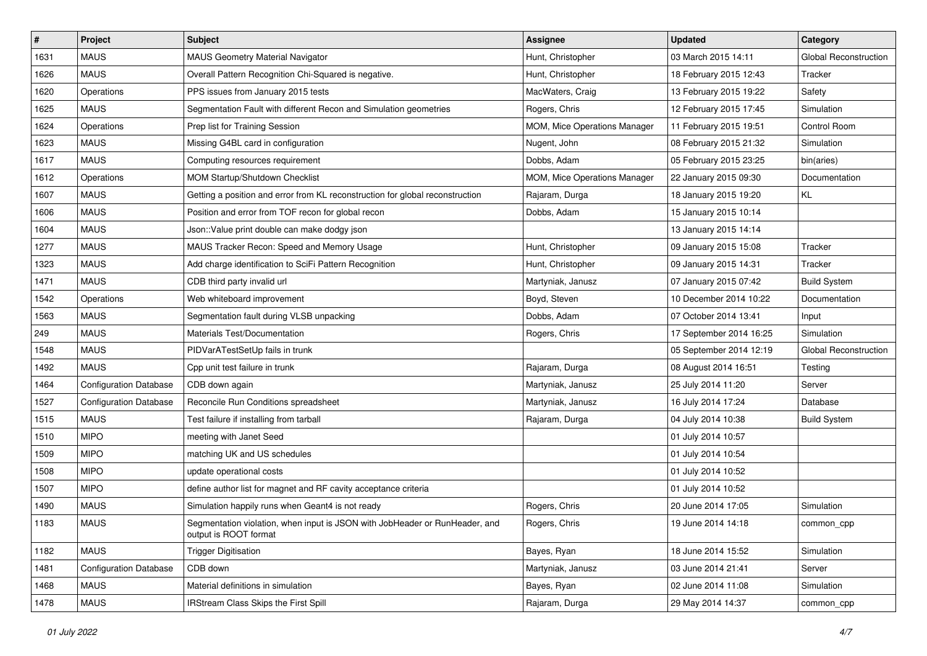| $\sharp$ | Project                       | Subject                                                                                              | <b>Assignee</b>              | <b>Updated</b>          | Category              |
|----------|-------------------------------|------------------------------------------------------------------------------------------------------|------------------------------|-------------------------|-----------------------|
| 1631     | <b>MAUS</b>                   | <b>MAUS Geometry Material Navigator</b>                                                              | Hunt, Christopher            | 03 March 2015 14:11     | Global Reconstruction |
| 1626     | <b>MAUS</b>                   | Overall Pattern Recognition Chi-Squared is negative.                                                 | Hunt, Christopher            | 18 February 2015 12:43  | Tracker               |
| 1620     | Operations                    | PPS issues from January 2015 tests                                                                   | MacWaters, Craig             | 13 February 2015 19:22  | Safety                |
| 1625     | <b>MAUS</b>                   | Segmentation Fault with different Recon and Simulation geometries                                    | Rogers, Chris                | 12 February 2015 17:45  | Simulation            |
| 1624     | Operations                    | Prep list for Training Session                                                                       | MOM, Mice Operations Manager | 11 February 2015 19:51  | Control Room          |
| 1623     | <b>MAUS</b>                   | Missing G4BL card in configuration                                                                   | Nugent, John                 | 08 February 2015 21:32  | Simulation            |
| 1617     | <b>MAUS</b>                   | Computing resources requirement                                                                      | Dobbs, Adam                  | 05 February 2015 23:25  | bin(aries)            |
| 1612     | Operations                    | MOM Startup/Shutdown Checklist                                                                       | MOM, Mice Operations Manager | 22 January 2015 09:30   | Documentation         |
| 1607     | <b>MAUS</b>                   | Getting a position and error from KL reconstruction for global reconstruction                        | Rajaram, Durga               | 18 January 2015 19:20   | KL                    |
| 1606     | <b>MAUS</b>                   | Position and error from TOF recon for global recon                                                   | Dobbs, Adam                  | 15 January 2015 10:14   |                       |
| 1604     | <b>MAUS</b>                   | Json::Value print double can make dodgy json                                                         |                              | 13 January 2015 14:14   |                       |
| 1277     | <b>MAUS</b>                   | MAUS Tracker Recon: Speed and Memory Usage                                                           | Hunt, Christopher            | 09 January 2015 15:08   | Tracker               |
| 1323     | <b>MAUS</b>                   | Add charge identification to SciFi Pattern Recognition                                               | Hunt, Christopher            | 09 January 2015 14:31   | Tracker               |
| 1471     | <b>MAUS</b>                   | CDB third party invalid url                                                                          | Martyniak, Janusz            | 07 January 2015 07:42   | <b>Build System</b>   |
| 1542     | Operations                    | Web whiteboard improvement                                                                           | Boyd, Steven                 | 10 December 2014 10:22  | Documentation         |
| 1563     | <b>MAUS</b>                   | Segmentation fault during VLSB unpacking                                                             | Dobbs, Adam                  | 07 October 2014 13:41   | Input                 |
| 249      | <b>MAUS</b>                   | Materials Test/Documentation                                                                         | Rogers, Chris                | 17 September 2014 16:25 | Simulation            |
| 1548     | <b>MAUS</b>                   | PIDVarATestSetUp fails in trunk                                                                      |                              | 05 September 2014 12:19 | Global Reconstruction |
| 1492     | <b>MAUS</b>                   | Cpp unit test failure in trunk                                                                       | Rajaram, Durga               | 08 August 2014 16:51    | Testing               |
| 1464     | <b>Configuration Database</b> | CDB down again                                                                                       | Martyniak, Janusz            | 25 July 2014 11:20      | Server                |
| 1527     | <b>Configuration Database</b> | Reconcile Run Conditions spreadsheet                                                                 | Martyniak, Janusz            | 16 July 2014 17:24      | Database              |
| 1515     | <b>MAUS</b>                   | Test failure if installing from tarball                                                              | Rajaram, Durga               | 04 July 2014 10:38      | <b>Build System</b>   |
| 1510     | <b>MIPO</b>                   | meeting with Janet Seed                                                                              |                              | 01 July 2014 10:57      |                       |
| 1509     | <b>MIPO</b>                   | matching UK and US schedules                                                                         |                              | 01 July 2014 10:54      |                       |
| 1508     | <b>MIPO</b>                   | update operational costs                                                                             |                              | 01 July 2014 10:52      |                       |
| 1507     | <b>MIPO</b>                   | define author list for magnet and RF cavity acceptance criteria                                      |                              | 01 July 2014 10:52      |                       |
| 1490     | <b>MAUS</b>                   | Simulation happily runs when Geant4 is not ready                                                     | Rogers, Chris                | 20 June 2014 17:05      | Simulation            |
| 1183     | <b>MAUS</b>                   | Segmentation violation, when input is JSON with JobHeader or RunHeader, and<br>output is ROOT format | Rogers, Chris                | 19 June 2014 14:18      | common_cpp            |
| 1182     | <b>MAUS</b>                   | <b>Trigger Digitisation</b>                                                                          | Bayes, Ryan                  | 18 June 2014 15:52      | Simulation            |
| 1481     | <b>Configuration Database</b> | CDB down                                                                                             | Martyniak, Janusz            | 03 June 2014 21:41      | Server                |
| 1468     | <b>MAUS</b>                   | Material definitions in simulation                                                                   | Bayes, Ryan                  | 02 June 2014 11:08      | Simulation            |
| 1478     | <b>MAUS</b>                   | IRStream Class Skips the First Spill                                                                 | Rajaram, Durga               | 29 May 2014 14:37       | common_cpp            |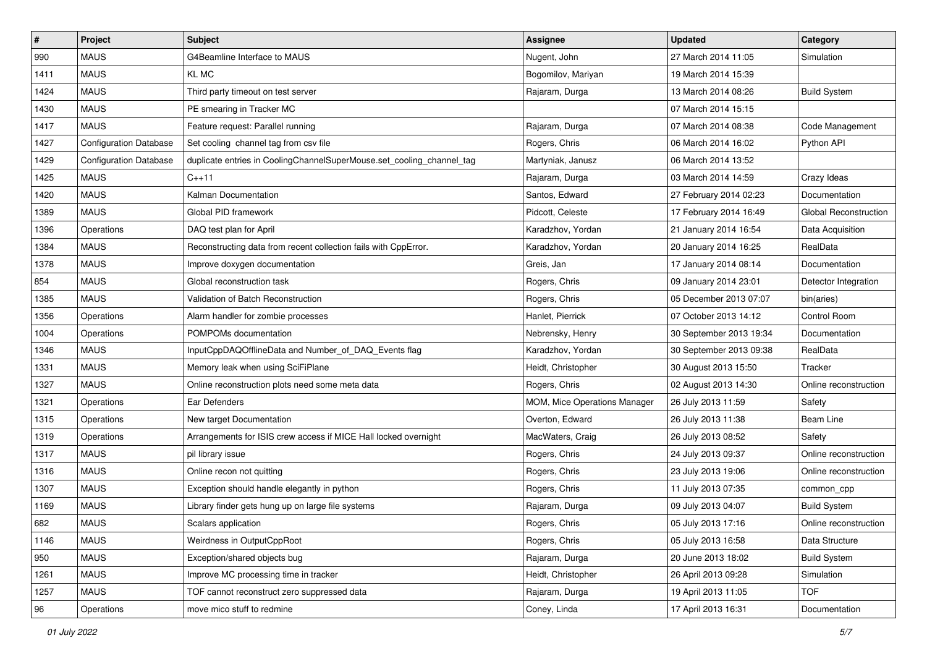| $\sharp$ | Project                       | <b>Subject</b>                                                        | <b>Assignee</b>              | <b>Updated</b>          | Category              |
|----------|-------------------------------|-----------------------------------------------------------------------|------------------------------|-------------------------|-----------------------|
| 990      | <b>MAUS</b>                   | G4Beamline Interface to MAUS                                          | Nugent, John                 | 27 March 2014 11:05     | Simulation            |
| 1411     | <b>MAUS</b>                   | KL MC                                                                 | Bogomilov, Mariyan           | 19 March 2014 15:39     |                       |
| 1424     | <b>MAUS</b>                   | Third party timeout on test server                                    | Rajaram, Durga               | 13 March 2014 08:26     | <b>Build System</b>   |
| 1430     | <b>MAUS</b>                   | PE smearing in Tracker MC                                             |                              | 07 March 2014 15:15     |                       |
| 1417     | <b>MAUS</b>                   | Feature request: Parallel running                                     | Rajaram, Durga               | 07 March 2014 08:38     | Code Management       |
| 1427     | <b>Configuration Database</b> | Set cooling channel tag from csv file                                 | Rogers, Chris                | 06 March 2014 16:02     | Python API            |
| 1429     | <b>Configuration Database</b> | duplicate entries in CoolingChannelSuperMouse.set_cooling_channel_tag | Martyniak, Janusz            | 06 March 2014 13:52     |                       |
| 1425     | <b>MAUS</b>                   | $C_{++}11$                                                            | Rajaram, Durga               | 03 March 2014 14:59     | Crazy Ideas           |
| 1420     | <b>MAUS</b>                   | Kalman Documentation                                                  | Santos, Edward               | 27 February 2014 02:23  | Documentation         |
| 1389     | <b>MAUS</b>                   | Global PID framework                                                  | Pidcott, Celeste             | 17 February 2014 16:49  | Global Reconstruction |
| 1396     | Operations                    | DAQ test plan for April                                               | Karadzhov, Yordan            | 21 January 2014 16:54   | Data Acquisition      |
| 1384     | <b>MAUS</b>                   | Reconstructing data from recent collection fails with CppError.       | Karadzhov, Yordan            | 20 January 2014 16:25   | RealData              |
| 1378     | <b>MAUS</b>                   | Improve doxygen documentation                                         | Greis, Jan                   | 17 January 2014 08:14   | Documentation         |
| 854      | <b>MAUS</b>                   | Global reconstruction task                                            | Rogers, Chris                | 09 January 2014 23:01   | Detector Integration  |
| 1385     | <b>MAUS</b>                   | Validation of Batch Reconstruction                                    | Rogers, Chris                | 05 December 2013 07:07  | bin(aries)            |
| 1356     | Operations                    | Alarm handler for zombie processes                                    | Hanlet, Pierrick             | 07 October 2013 14:12   | Control Room          |
| 1004     | Operations                    | POMPOMs documentation                                                 | Nebrensky, Henry             | 30 September 2013 19:34 | Documentation         |
| 1346     | <b>MAUS</b>                   | InputCppDAQOfflineData and Number_of_DAQ_Events flag                  | Karadzhov, Yordan            | 30 September 2013 09:38 | RealData              |
| 1331     | <b>MAUS</b>                   | Memory leak when using SciFiPlane                                     | Heidt, Christopher           | 30 August 2013 15:50    | Tracker               |
| 1327     | <b>MAUS</b>                   | Online reconstruction plots need some meta data                       | Rogers, Chris                | 02 August 2013 14:30    | Online reconstruction |
| 1321     | Operations                    | Ear Defenders                                                         | MOM, Mice Operations Manager | 26 July 2013 11:59      | Safety                |
| 1315     | Operations                    | New target Documentation                                              | Overton, Edward              | 26 July 2013 11:38      | Beam Line             |
| 1319     | Operations                    | Arrangements for ISIS crew access if MICE Hall locked overnight       | MacWaters, Craig             | 26 July 2013 08:52      | Safety                |
| 1317     | <b>MAUS</b>                   | pil library issue                                                     | Rogers, Chris                | 24 July 2013 09:37      | Online reconstruction |
| 1316     | <b>MAUS</b>                   | Online recon not quitting                                             | Rogers, Chris                | 23 July 2013 19:06      | Online reconstruction |
| 1307     | <b>MAUS</b>                   | Exception should handle elegantly in python                           | Rogers, Chris                | 11 July 2013 07:35      | common cpp            |
| 1169     | <b>MAUS</b>                   | Library finder gets hung up on large file systems                     | Rajaram, Durga               | 09 July 2013 04:07      | <b>Build System</b>   |
| 682      | <b>MAUS</b>                   | Scalars application                                                   | Rogers, Chris                | 05 July 2013 17:16      | Online reconstruction |
| 1146     | <b>MAUS</b>                   | Weirdness in OutputCppRoot                                            | Rogers, Chris                | 05 July 2013 16:58      | Data Structure        |
| 950      | <b>MAUS</b>                   | Exception/shared objects bug                                          | Rajaram, Durga               | 20 June 2013 18:02      | <b>Build System</b>   |
| 1261     | <b>MAUS</b>                   | Improve MC processing time in tracker                                 | Heidt, Christopher           | 26 April 2013 09:28     | Simulation            |
| 1257     | <b>MAUS</b>                   | TOF cannot reconstruct zero suppressed data                           | Rajaram, Durga               | 19 April 2013 11:05     | <b>TOF</b>            |
| 96       | Operations                    | move mico stuff to redmine                                            | Coney, Linda                 | 17 April 2013 16:31     | Documentation         |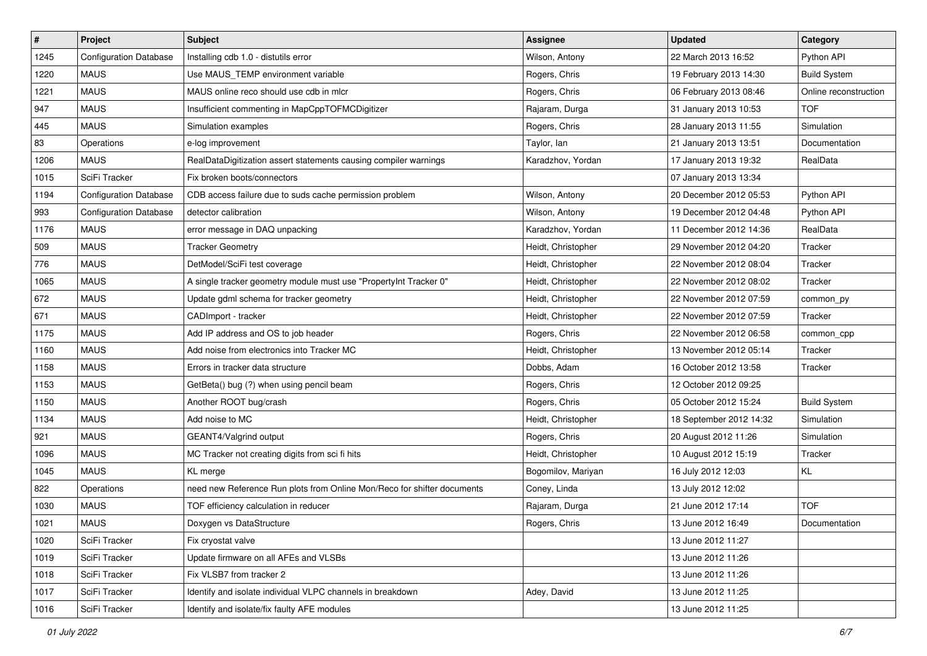| $\sharp$ | Project                       | Subject                                                                 | <b>Assignee</b>    | <b>Updated</b>          | Category              |
|----------|-------------------------------|-------------------------------------------------------------------------|--------------------|-------------------------|-----------------------|
| 1245     | <b>Configuration Database</b> | Installing cdb 1.0 - distutils error                                    | Wilson, Antony     | 22 March 2013 16:52     | Python API            |
| 1220     | <b>MAUS</b>                   | Use MAUS TEMP environment variable                                      | Rogers, Chris      | 19 February 2013 14:30  | <b>Build System</b>   |
| 1221     | <b>MAUS</b>                   | MAUS online reco should use cdb in mlcr                                 | Rogers, Chris      | 06 February 2013 08:46  | Online reconstruction |
| 947      | <b>MAUS</b>                   | Insufficient commenting in MapCppTOFMCDigitizer                         | Rajaram, Durga     | 31 January 2013 10:53   | <b>TOF</b>            |
| 445      | <b>MAUS</b>                   | Simulation examples                                                     | Rogers, Chris      | 28 January 2013 11:55   | Simulation            |
| 83       | Operations                    | e-log improvement                                                       | Taylor, lan        | 21 January 2013 13:51   | Documentation         |
| 1206     | <b>MAUS</b>                   | RealDataDigitization assert statements causing compiler warnings        | Karadzhov, Yordan  | 17 January 2013 19:32   | RealData              |
| 1015     | SciFi Tracker                 | Fix broken boots/connectors                                             |                    | 07 January 2013 13:34   |                       |
| 1194     | <b>Configuration Database</b> | CDB access failure due to suds cache permission problem                 | Wilson, Antony     | 20 December 2012 05:53  | Python API            |
| 993      | <b>Configuration Database</b> | detector calibration                                                    | Wilson, Antony     | 19 December 2012 04:48  | Python API            |
| 1176     | <b>MAUS</b>                   | error message in DAQ unpacking                                          | Karadzhov, Yordan  | 11 December 2012 14:36  | RealData              |
| 509      | <b>MAUS</b>                   | <b>Tracker Geometry</b>                                                 | Heidt, Christopher | 29 November 2012 04:20  | Tracker               |
| 776      | <b>MAUS</b>                   | DetModel/SciFi test coverage                                            | Heidt, Christopher | 22 November 2012 08:04  | Tracker               |
| 1065     | <b>MAUS</b>                   | A single tracker geometry module must use "PropertyInt Tracker 0"       | Heidt, Christopher | 22 November 2012 08:02  | Tracker               |
| 672      | <b>MAUS</b>                   | Update gdml schema for tracker geometry                                 | Heidt, Christopher | 22 November 2012 07:59  | common_py             |
| 671      | <b>MAUS</b>                   | CADImport - tracker                                                     | Heidt, Christopher | 22 November 2012 07:59  | Tracker               |
| 1175     | <b>MAUS</b>                   | Add IP address and OS to job header                                     | Rogers, Chris      | 22 November 2012 06:58  | common_cpp            |
| 1160     | <b>MAUS</b>                   | Add noise from electronics into Tracker MC                              | Heidt, Christopher | 13 November 2012 05:14  | Tracker               |
| 1158     | <b>MAUS</b>                   | Errors in tracker data structure                                        | Dobbs, Adam        | 16 October 2012 13:58   | Tracker               |
| 1153     | <b>MAUS</b>                   | GetBeta() bug (?) when using pencil beam                                | Rogers, Chris      | 12 October 2012 09:25   |                       |
| 1150     | <b>MAUS</b>                   | Another ROOT bug/crash                                                  | Rogers, Chris      | 05 October 2012 15:24   | <b>Build System</b>   |
| 1134     | <b>MAUS</b>                   | Add noise to MC                                                         | Heidt, Christopher | 18 September 2012 14:32 | Simulation            |
| 921      | <b>MAUS</b>                   | GEANT4/Valgrind output                                                  | Rogers, Chris      | 20 August 2012 11:26    | Simulation            |
| 1096     | <b>MAUS</b>                   | MC Tracker not creating digits from sci fi hits                         | Heidt, Christopher | 10 August 2012 15:19    | Tracker               |
| 1045     | <b>MAUS</b>                   | KL merge                                                                | Bogomilov, Mariyan | 16 July 2012 12:03      | KL                    |
| 822      | Operations                    | need new Reference Run plots from Online Mon/Reco for shifter documents | Coney, Linda       | 13 July 2012 12:02      |                       |
| 1030     | <b>MAUS</b>                   | TOF efficiency calculation in reducer                                   | Rajaram, Durga     | 21 June 2012 17:14      | <b>TOF</b>            |
| 1021     | <b>MAUS</b>                   | Doxygen vs DataStructure                                                | Rogers, Chris      | 13 June 2012 16:49      | Documentation         |
| 1020     | SciFi Tracker                 | Fix cryostat valve                                                      |                    | 13 June 2012 11:27      |                       |
| 1019     | SciFi Tracker                 | Update firmware on all AFEs and VLSBs                                   |                    | 13 June 2012 11:26      |                       |
| 1018     | SciFi Tracker                 | Fix VLSB7 from tracker 2                                                |                    | 13 June 2012 11:26      |                       |
| 1017     | SciFi Tracker                 | Identify and isolate individual VLPC channels in breakdown              | Adey, David        | 13 June 2012 11:25      |                       |
| 1016     | SciFi Tracker                 | Identify and isolate/fix faulty AFE modules                             |                    | 13 June 2012 11:25      |                       |